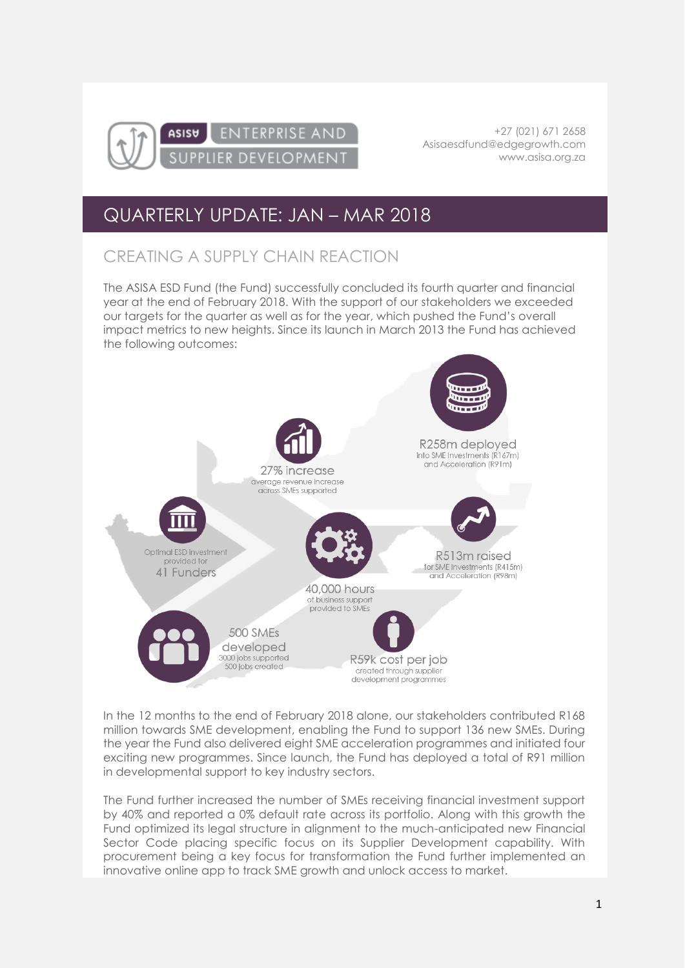

+27 (021) 671 2658 [Asisaesdfund@edgegrowth.com](mailto:Asisaesdfund@edgegrowth.com) [www.asisa.org.za](http://www.asisa.org.za/)

## QUARTERLY UPDATE: JAN – MAR 2018

## CREATING A SUPPLY CHAIN REACTION

The ASISA ESD Fund (the Fund) successfully concluded its fourth quarter and financial year at the end of February 2018. With the support of our stakeholders we exceeded our targets for the quarter as well as for the year, which pushed the Fund's overall impact metrics to new heights. Since its launch in March 2013 the Fund has achieved the following outcomes:



In the 12 months to the end of February 2018 alone, our stakeholders contributed R168 million towards SME development, enabling the Fund to support 136 new SMEs. During the year the Fund also delivered eight SME acceleration programmes and initiated four exciting new programmes. Since launch, the Fund has deployed a total of R91 million in developmental support to key industry sectors.

The Fund further increased the number of SMEs receiving financial investment support by 40% and reported a 0% default rate across its portfolio. Along with this growth the Fund optimized its legal structure in alignment to the much-anticipated new Financial Sector Code placing specific focus on its Supplier Development capability. With procurement being a key focus for transformation the Fund further implemented an innovative online app to track SME growth and unlock access to market.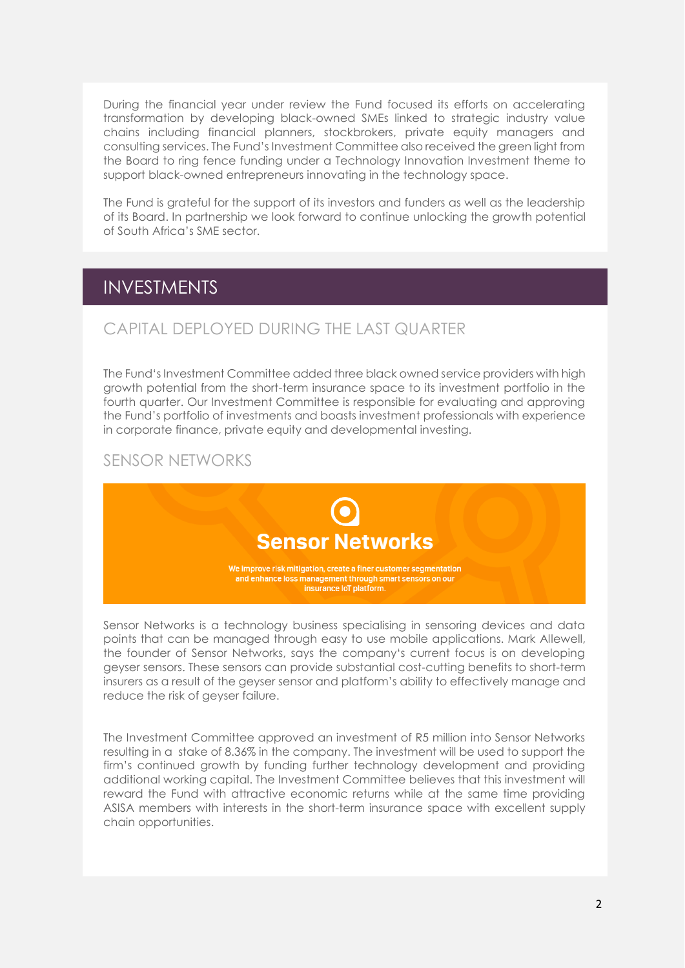During the financial year under review the Fund focused its efforts on accelerating transformation by developing black-owned SMEs linked to strategic industry value chains including financial planners, stockbrokers, private equity managers and consulting services. The Fund's Investment Committee also received the green light from the Board to ring fence funding under a Technology Innovation Investment theme to support black-owned entrepreneurs innovating in the technology space.

The Fund is grateful for the support of its investors and funders as well as the leadership of its Board. In partnership we look forward to continue unlocking the growth potential of South Africa's SME sector.

### INVESTMENTS

### CAPITAL DEPLOYED DURING THE LAST QUARTER

The Fund's Investment Committee added three black owned service providers with high growth potential from the short-term insurance space to its investment portfolio in the fourth quarter. Our Investment Committee is responsible for evaluating and approving the Fund's portfolio of investments and boasts investment professionals with experience in corporate finance, private equity and developmental investing.

#### SENSOR NETWORKS



Sensor Networks is a technology business specialising in sensoring devices and data points that can be managed through easy to use mobile applications. Mark Allewell, the founder of Sensor Networks, says the company's current focus is on developing geyser sensors. These sensors can provide substantial cost-cutting benefits to short-term insurers as a result of the geyser sensor and platform's ability to effectively manage and reduce the risk of geyser failure.

The Investment Committee approved an investment of R5 million into Sensor Networks resulting in a stake of 8.36% in the company. The investment will be used to support the firm's continued growth by funding further technology development and providing additional working capital. The Investment Committee believes that this investment will reward the Fund with attractive economic returns while at the same time providing ASISA members with interests in the short-term insurance space with excellent supply chain opportunities.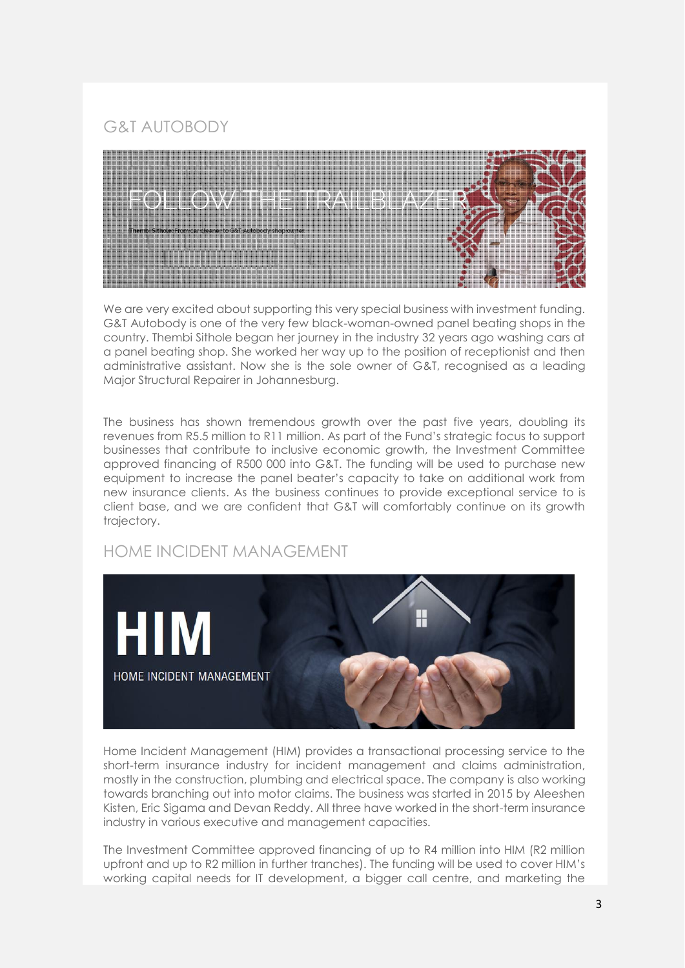G&T AUTOBODY



We are very excited about supporting this very special business with investment funding. G&T Autobody is one of the very few black-woman-owned panel beating shops in the country. Thembi Sithole began her journey in the industry 32 years ago washing cars at a panel beating shop. She worked her way up to the position of receptionist and then administrative assistant. Now she is the sole owner of G&T, recognised as a leading Major Structural Repairer in Johannesburg.

The business has shown tremendous growth over the past five years, doubling its revenues from R5.5 million to R11 million. As part of the Fund's strategic focus to support businesses that contribute to inclusive economic growth, the Investment Committee approved financing of R500 000 into G&T. The funding will be used to purchase new equipment to increase the panel beater's capacity to take on additional work from new insurance clients. As the business continues to provide exceptional service to is client base, and we are confident that G&T will comfortably continue on its growth trajectory.

### HOME INCIDENT MANAGEMENT



Home Incident Management (HIM) provides a transactional processing service to the short-term insurance industry for incident management and claims administration, mostly in the construction, plumbing and electrical space. The company is also working towards branching out into motor claims. The business was started in 2015 by Aleeshen Kisten, Eric Sigama and Devan Reddy. All three have worked in the short-term insurance industry in various executive and management capacities.

The Investment Committee approved financing of up to R4 million into HIM (R2 million upfront and up to R2 million in further tranches). The funding will be used to cover HIM's working capital needs for IT development, a bigger call centre, and marketing the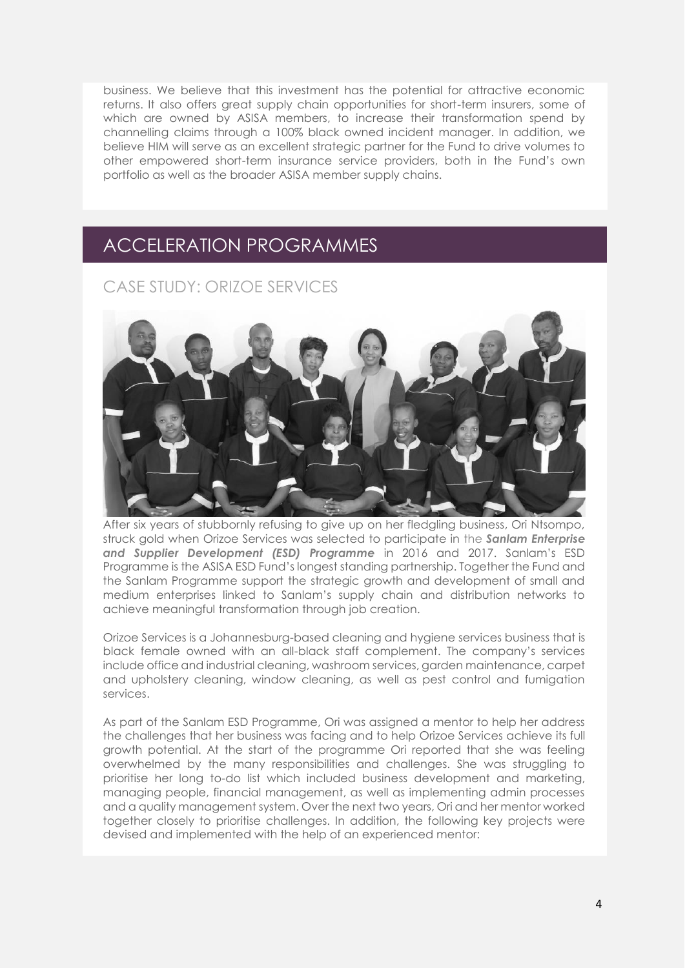business. We believe that this investment has the potential for attractive economic returns. It also offers great supply chain opportunities for short-term insurers, some of which are owned by ASISA members, to increase their transformation spend by channelling claims through a 100% black owned incident manager. In addition, we believe HIM will serve as an excellent strategic partner for the Fund to drive volumes to other empowered short-term insurance service providers, both in the Fund's own portfolio as well as the broader ASISA member supply chains.

## ACCELERATION PROGRAMMES

CASE STUDY: ORIZOE SERVICES



After six years of stubbornly refusing to give up on her fledgling business, Ori Ntsompo, struck gold when Orizoe Services was selected to participate in the *[Sanlam Enterprise](https://www.sanlam.com/about/responsiblebusiness/sanlamfoundation/enterprisedevelopment/Pages/default.aspx)  [and Supplier Development \(ESD\) Programme](https://www.sanlam.com/about/responsiblebusiness/sanlamfoundation/enterprisedevelopment/Pages/default.aspx)* in 2016 and 2017. Sanlam's ESD Programme is the ASISA ESD Fund's longest standing partnership. Together the Fund and the Sanlam Programme support the strategic growth and development of small and medium enterprises linked to Sanlam's supply chain and distribution networks to achieve meaningful transformation through job creation.

Orizoe Services is a Johannesburg-based cleaning and hygiene services business that is black female owned with an all-black staff complement. The company's services include office and industrial cleaning, washroom services, garden maintenance, carpet and upholstery cleaning, window cleaning, as well as pest control and fumigation services.

As part of the Sanlam ESD Programme, Ori was assigned a mentor to help her address the challenges that her business was facing and to help Orizoe Services achieve its full growth potential. At the start of the programme Ori reported that she was feeling overwhelmed by the many responsibilities and challenges. She was struggling to prioritise her long to-do list which included business development and marketing, managing people, financial management, as well as implementing admin processes and a quality management system. Over the next two years, Ori and her mentor worked together closely to prioritise challenges. In addition, the following key projects were devised and implemented with the help of an experienced mentor: